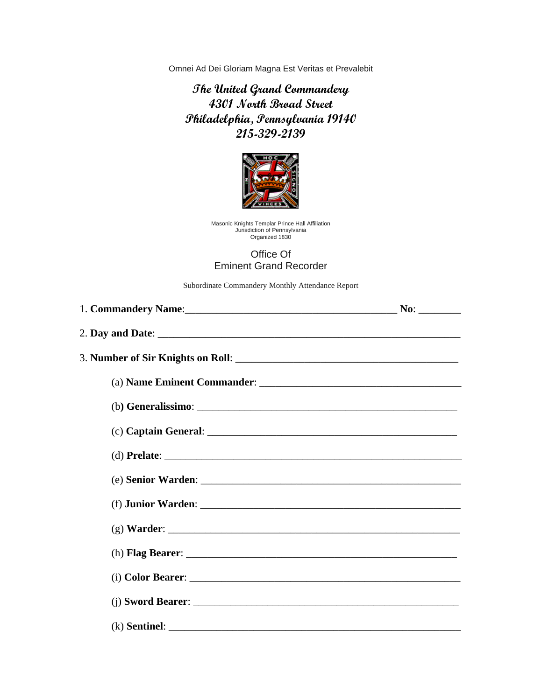Omnei Ad Dei Gloriam Magna Est Veritas et Prevalebit

**The United Grand Commandery 4301 North Broad Street Philadelphia, Pennsylvania 19140 215-329-2139** 



Masonic Knights Templar Prince Hall Affiliation Jurisdiction of Pennsylvania Organized 1830

## Office Of Eminent Grand Recorder

Subordinate Commandery Monthly Attendance Report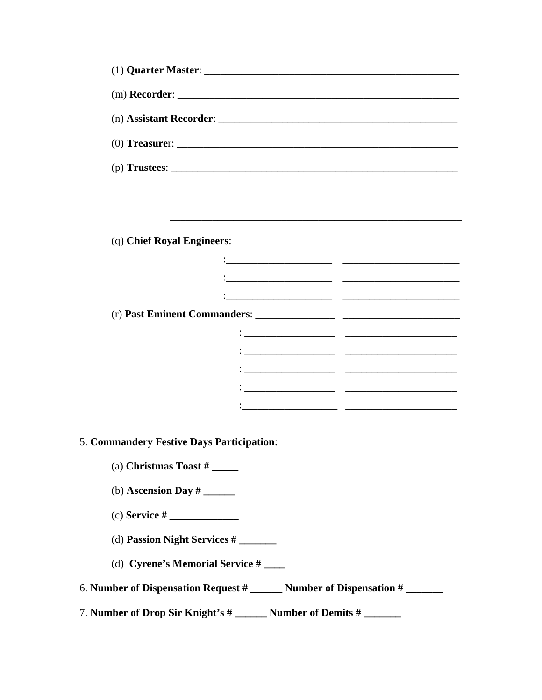| (0) Treasurer: $\_\_$                                                       |  |  |
|-----------------------------------------------------------------------------|--|--|
|                                                                             |  |  |
|                                                                             |  |  |
|                                                                             |  |  |
|                                                                             |  |  |
|                                                                             |  |  |
|                                                                             |  |  |
|                                                                             |  |  |
|                                                                             |  |  |
|                                                                             |  |  |
|                                                                             |  |  |
|                                                                             |  |  |
|                                                                             |  |  |
| 5. Commandery Festive Days Participation:                                   |  |  |
| (a) Christmas Toast $#$ ________                                            |  |  |
|                                                                             |  |  |
|                                                                             |  |  |
| (d) Passion Night Services $#$ _________                                    |  |  |
| (d) Cyrene's Memorial Service $#$ _____                                     |  |  |
| 6. Number of Dispensation Request # _______ Number of Dispensation # ______ |  |  |

7. Number of Drop Sir Knight's # \_\_\_\_\_\_ Number of Demits # \_\_\_\_\_\_